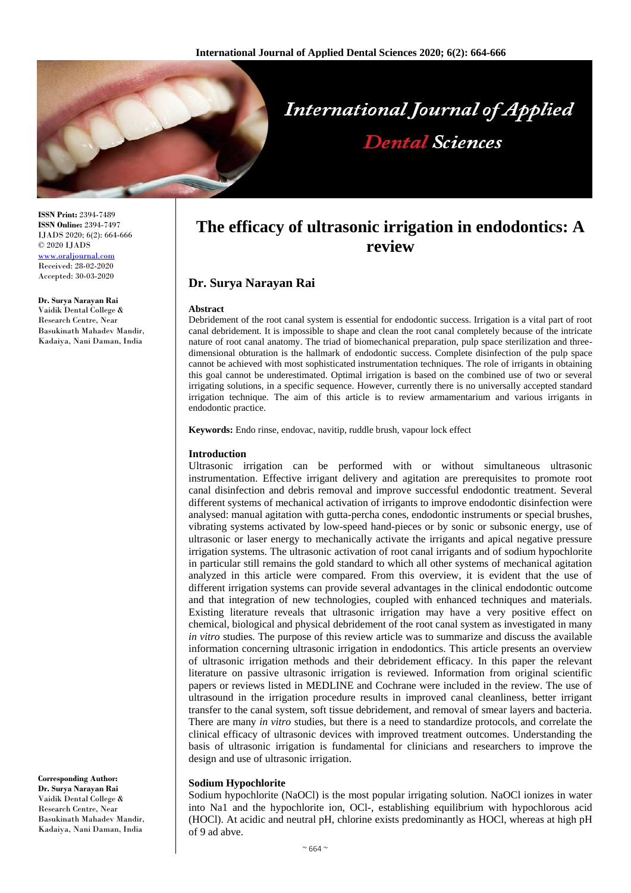

**ISSN Print:** 2394-7489 **ISSN Online:** 2394-7497 IJADS 2020; 6(2): 664-666 © 2020 IJADS <www.oraljournal.com> Received: 28-02-2020 Accepted: 30-03-2020

**Dr. Surya Narayan Rai** 

Vaidik Dental College & Research Centre, Near Basukinath Mahadev Mandir, Kadaiya, Nani Daman, India

**Corresponding Author:**

**Dr. Surya Narayan Rai**  Vaidik Dental College & Research Centre, Near Basukinath Mahadev Mandir, Kadaiya, Nani Daman, India

# **The efficacy of ultrasonic irrigation in endodontics: A review**

## **Dr. Surya Narayan Rai**

#### **Abstract**

Debridement of the root canal system is essential for endodontic success. Irrigation is a vital part of root canal debridement. It is impossible to shape and clean the root canal completely because of the intricate nature of root canal anatomy. The triad of biomechanical preparation, pulp space sterilization and threedimensional obturation is the hallmark of endodontic success. Complete disinfection of the pulp space cannot be achieved with most sophisticated instrumentation techniques. The role of irrigants in obtaining this goal cannot be underestimated. Optimal irrigation is based on the combined use of two or several irrigating solutions, in a specific sequence. However, currently there is no universally accepted standard irrigation technique. The aim of this article is to review armamentarium and various irrigants in endodontic practice.

**Keywords:** Endo rinse, endovac, navitip, ruddle brush, vapour lock effect

### **Introduction**

Ultrasonic irrigation can be performed with or without simultaneous ultrasonic instrumentation. Effective irrigant delivery and agitation are prerequisites to promote root canal disinfection and debris removal and improve successful endodontic treatment. Several different systems of mechanical activation of irrigants to improve endodontic disinfection were analysed: manual agitation with gutta-percha cones, endodontic instruments or special brushes, vibrating systems activated by low-speed hand-pieces or by sonic or subsonic energy, use of ultrasonic or laser energy to mechanically activate the irrigants and apical negative pressure irrigation systems. The ultrasonic activation of root canal irrigants and of sodium hypochlorite in particular still remains the gold standard to which all other systems of mechanical agitation analyzed in this article were compared. From this overview, it is evident that the use of different irrigation systems can provide several advantages in the clinical endodontic outcome and that integration of new technologies, coupled with enhanced techniques and materials. Existing literature reveals that ultrasonic irrigation may have a very positive effect on chemical, biological and physical debridement of the root canal system as investigated in many *in vitro* studies. The purpose of this review article was to summarize and discuss the available information concerning ultrasonic irrigation in endodontics. This article presents an overview of ultrasonic irrigation methods and their debridement efficacy. In this paper the relevant literature on passive ultrasonic irrigation is reviewed. Information from original scientific papers or reviews listed in MEDLINE and Cochrane were included in the review. The use of ultrasound in the irrigation procedure results in improved canal cleanliness, better irrigant transfer to the canal system, soft tissue debridement, and removal of smear layers and bacteria. There are many *in vitro* studies, but there is a need to standardize protocols, and correlate the clinical efficacy of ultrasonic devices with improved treatment outcomes. Understanding the basis of ultrasonic irrigation is fundamental for clinicians and researchers to improve the design and use of ultrasonic irrigation.

### **Sodium Hypochlorite**

Sodium hypochlorite (NaOCl) is the most popular irrigating solution. NaOCl ionizes in water into Na1 and the hypochlorite ion, OCl-, establishing equilibrium with hypochlorous acid (HOCl). At acidic and neutral pH, chlorine exists predominantly as HOCl, whereas at high pH of 9 ad abve.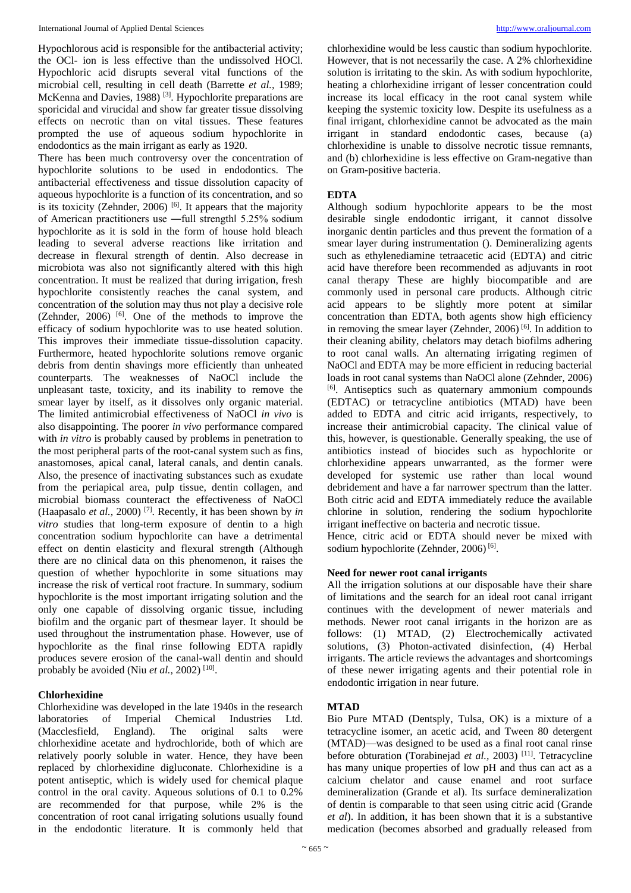Hypochlorous acid is responsible for the antibacterial activity; the OCl- ion is less effective than the undissolved HOCl. Hypochloric acid disrupts several vital functions of the microbial cell, resulting in cell death (Barrette *et al.,* 1989; McKenna and Davies, 1988)<sup>[3]</sup>. Hypochlorite preparations are sporicidal and virucidal and show far greater tissue dissolving effects on necrotic than on vital tissues. These features prompted the use of aqueous sodium hypochlorite in endodontics as the main irrigant as early as 1920.

There has been much controversy over the concentration of hypochlorite solutions to be used in endodontics. The antibacterial effectiveness and tissue dissolution capacity of aqueous hypochlorite is a function of its concentration, and so is its toxicity (Zehnder, 2006)  $[6]$ . It appears that the majority of American practitioners use ―full strength‖ 5.25% sodium hypochlorite as it is sold in the form of house hold bleach leading to several adverse reactions like irritation and decrease in flexural strength of dentin. Also decrease in microbiota was also not significantly altered with this high concentration. It must be realized that during irrigation, fresh hypochlorite consistently reaches the canal system, and concentration of the solution may thus not play a decisive role (Zehnder,  $2006$ ) <sup>[6]</sup>. One of the methods to improve the efficacy of sodium hypochlorite was to use heated solution. This improves their immediate tissue-dissolution capacity. Furthermore, heated hypochlorite solutions remove organic debris from dentin shavings more efficiently than unheated counterparts. The weaknesses of NaOCl include the unpleasant taste, toxicity, and its inability to remove the smear layer by itself, as it dissolves only organic material. The limited antimicrobial effectiveness of NaOCl *in vivo* is also disappointing. The poorer *in vivo* performance compared with *in vitro* is probably caused by problems in penetration to the most peripheral parts of the root-canal system such as fins, anastomoses, apical canal, lateral canals, and dentin canals. Also, the presence of inactivating substances such as exudate from the periapical area, pulp tissue, dentin collagen, and microbial biomass counteract the effectiveness of NaOCl (Haapasalo *et al.,* 2000) [7]. Recently, it has been shown by *in vitro* studies that long-term exposure of dentin to a high concentration sodium hypochlorite can have a detrimental effect on dentin elasticity and flexural strength (Although there are no clinical data on this phenomenon, it raises the question of whether hypochlorite in some situations may increase the risk of vertical root fracture. In summary, sodium hypochlorite is the most important irrigating solution and the only one capable of dissolving organic tissue, including biofilm and the organic part of thesmear layer. It should be used throughout the instrumentation phase. However, use of hypochlorite as the final rinse following EDTA rapidly produces severe erosion of the canal-wall dentin and should probably be avoided (Niu et al., 2002)<sup>[10]</sup>.

### **Chlorhexidine**

Chlorhexidine was developed in the late 1940s in the research laboratories of Imperial Chemical Industries Ltd. (Macclesfield, England). The original salts were chlorhexidine acetate and hydrochloride, both of which are relatively poorly soluble in water. Hence, they have been replaced by chlorhexidine digluconate. Chlorhexidine is a potent antiseptic, which is widely used for chemical plaque control in the oral cavity. Aqueous solutions of 0.1 to 0.2% are recommended for that purpose, while 2% is the concentration of root canal irrigating solutions usually found in the endodontic literature. It is commonly held that

chlorhexidine would be less caustic than sodium hypochlorite. However, that is not necessarily the case. A 2% chlorhexidine solution is irritating to the skin. As with sodium hypochlorite, heating a chlorhexidine irrigant of lesser concentration could increase its local efficacy in the root canal system while keeping the systemic toxicity low. Despite its usefulness as a final irrigant, chlorhexidine cannot be advocated as the main irrigant in standard endodontic cases, because (a) chlorhexidine is unable to dissolve necrotic tissue remnants, and (b) chlorhexidine is less effective on Gram-negative than on Gram-positive bacteria.

### **EDTA**

Although sodium hypochlorite appears to be the most desirable single endodontic irrigant, it cannot dissolve inorganic dentin particles and thus prevent the formation of a smear layer during instrumentation (). Demineralizing agents such as ethylenediamine tetraacetic acid (EDTA) and citric acid have therefore been recommended as adjuvants in root canal therapy These are highly biocompatible and are commonly used in personal care products. Although citric acid appears to be slightly more potent at similar concentration than EDTA, both agents show high efficiency in removing the smear layer (Zehnder, 2006)  $^{[6]}$ . In addition to their cleaning ability, chelators may detach biofilms adhering to root canal walls. An alternating irrigating regimen of NaOCl and EDTA may be more efficient in reducing bacterial loads in root canal systems than NaOCl alone (Zehnder, 2006) [6]. Antiseptics such as quaternary ammonium compounds (EDTAC) or tetracycline antibiotics (MTAD) have been added to EDTA and citric acid irrigants, respectively, to increase their antimicrobial capacity. The clinical value of this, however, is questionable. Generally speaking, the use of antibiotics instead of biocides such as hypochlorite or chlorhexidine appears unwarranted, as the former were developed for systemic use rather than local wound debridement and have a far narrower spectrum than the latter. Both citric acid and EDTA immediately reduce the available chlorine in solution, rendering the sodium hypochlorite irrigant ineffective on bacteria and necrotic tissue.

Hence, citric acid or EDTA should never be mixed with sodium hypochlorite (Zehnder, 2006)<sup>[6]</sup>.

### **Need for newer root canal irrigants**

All the irrigation solutions at our disposable have their share of limitations and the search for an ideal root canal irrigant continues with the development of newer materials and methods. Newer root canal irrigants in the horizon are as follows: (1) MTAD, (2) Electrochemically activated solutions, (3) Photon-activated disinfection, (4) Herbal irrigants. The article reviews the advantages and shortcomings of these newer irrigating agents and their potential role in endodontic irrigation in near future.

### **MTAD**

Bio Pure MTAD (Dentsply, Tulsa, OK) is a mixture of a tetracycline isomer, an acetic acid, and Tween 80 detergent (MTAD)—was designed to be used as a final root canal rinse before obturation (Torabinejad *et al.*, 2003)<sup>[11]</sup>. Tetracycline has many unique properties of low pH and thus can act as a calcium chelator and cause enamel and root surface demineralization (Grande et al). Its surface demineralization of dentin is comparable to that seen using citric acid (Grande *et al*). In addition, it has been shown that it is a substantive medication (becomes absorbed and gradually released from